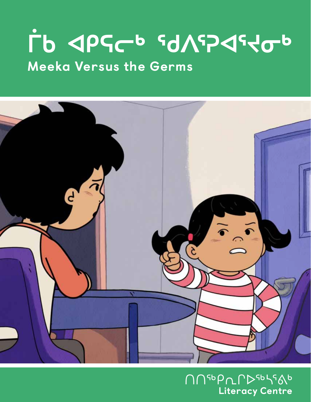# **Meeka Versus the Germs**



 $\overline{\bigcap}$ 96 $\overline{P}$  $\cap$   $\overline{\bigcap}$  $\overline{S}$ 65 $\overline{S}$ **Literacy Centre**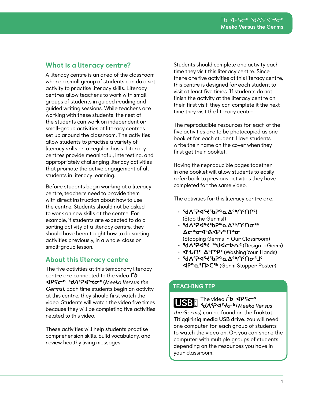### What is a literacy centre?

A literacy centre is an area of the classroom where a small group of students can do a set activity to practise literacy skills. Literacy centres allow teachers to work with small groups of students in guided reading and guided writing sessions. While teachers are working with these students, the rest of the students can work on independent or small-group activities at literacy centres set up around the classroom. The activities allow students to practise a variety of literacy skills on a regular basis. Literacy centres provide meaningful, interesting, and appropriately challenging literacy activities that promote the active engagement of all students in literacy learning.

Before students begin working at a literacy centre, teachers need to provide them with direct instruction about how to use the centre. Students should not be asked to work on new skills at the centre. For example, if students are expected to do a sorting activity at a literacy centre, they should have been taught how to do sorting activities previously, in a whole-class or small-group lesson.

### About this literacy centre

The five activities at this temporary literacy centre are connected to the video  $\bar{\Gamma}$ **b ᐊᑭᕋᓕᒃ ᖁᐱᕐᕈᐊᕐᔪᓂᒃ** (Meeka Versus the Germs). Each time students begin an activity at this centre, they should first watch the video. Students will watch the video five times because they will be completing five activities related to this video.

These activities will help students practise comprehension skills, build vocabulary, and review healthy living messages.

Students should complete one activity each time they visit this literacy centre. Since there are five activities at this literacy centre, this centre is designed for each student to visit at least five times. If students do not finish the activity at the literacy centre on their first visit, they can complete it the next time they visit the literacy centre.

The reproducible resources for each of the five activities are to be photocopied as one booklet for each student. Have students write their name on the cover when they first get their booklet.

Having the reproducible pages together in one booklet will allow students to easily refer back to previous activities they have completed for the same video.

The activities for this literacy centre are:

- **‹‹በንጣማንያን**<br>• **‹‹በ**ንግራተማንያልፈልግና (Stop the Germs!)
- **قط∧**י 2019ק• **ᐃᓕᓐᓂᐊᕐᕕᐊᕈᓯᑦᑎᓐᓂ**
- (Stopping Germs in Our Classroom)
- **ናሀለናንଏ፣ሩ "ህଏ૮▷∩º** (Design a Germ)
- **JUN<sup>c</sup> Δ<sup>ς</sup>Γυρ<sup>c</sup> (Washing Your Hands)** • **ᖁᐱᕐᕈᐊᕐᔪᖃᕈᓐᓇᐃᖅᑎᑦᑎᓂᕐᒧᑦ**
- **ᐊᑭᓐᓇᕐᒥᐅᑕᖅ** (Germ Stopper Poster)

### TEACHING TIP

The video *ib 4PSc<sup>b</sup>* **ᖁᐱᕐᕈᐊᕐᔪᓂᒃ** (Meeka Versus the Germs) can be found on the **Inuktut Titiqqiriniq media USB drive**. You will need one computer for each group of students to watch the video on. Or, you can share the computer with multiple groups of students depending on the resources you have in your classroom.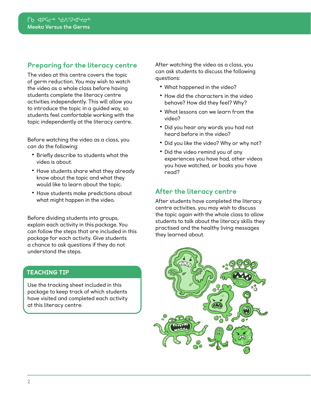### Preparing for the literacy centre

The video at this centre covers the topic of germ reduction. You may wish to watch the video as a whole class before having students complete the literacy centre activities independently. This will allow you to introduce the topic in a guided way, so students feel comfortable working with the topic independently at the literacy centre.

Before watching the video as a class, you can do the following:

- **•** Briefly describe to students what the video is about.
- **•** Have students share what they already know about the topic and what they would like to learn about the topic.
- **•** Have students make predictions about what might happen in the video.

Before dividing students into groups, explain each activity in this package. You can follow the steps that are included in this package for each activity. Give students a chance to ask questions if they do not understand the steps.

#### TEACHING TIP

Use the tracking sheet included in this package to keep track of which students have visited and completed each activity at this literacy centre.

After watching the video as a class, you can ask students to discuss the following questions:

- **•** What happened in the video?
- **•** How did the characters in the video behave? How did they feel? Why?
- **•** What lessons can we learn from the video?
- **•** Did you hear any words you had not heard before in the video?
- **•** Did you like the video? Why or why not?
- **•** Did the video remind you of any experiences you have had, other videos you have watched, or books you have read?

### After the literacy centre

After students have completed the literacy centre activities, you may wish to discuss the topic again with the whole class to allow students to talk about the literacy skills they practised and the healthy living messages they learned about.

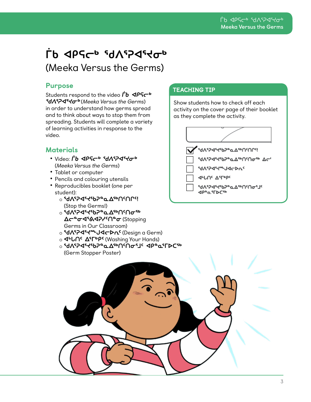### **ᒦᑲ ᐊᑭᕋᓕᒃ ᖁᐱᕐᕈᐊᕐᔪᓂᒃ**  (Meeka Versus the Germs)

### Purpose

Students respond to the video  $\dot{\mathsf{F}}$ **b** <a> **SUNEPASTO** (Meeka Versus the Germs) in order to understand how germs spread and to think about ways to stop them from spreading. Students will complete a variety of learning activities in response to the video.

### **Materials**

- **•** Video: **ᒦᑲ ᐊᑭᕋᓕᒃ ᖁᐱᕐᕈᐊᕐᔪᓂᒃ** (Meeka Versus the Germs)
- **•** Tablet or computer
- **•** Pencils and colouring utensils
- **•** Reproducibles booklet (one per student):
	- © **აყVაპმპმა** და სახანა დ
		- (Stop the Germs!)
	- ა **კე**ლადადადადა ადაბაა ა **ᐃᓕᓐᓂᐊᕐᕕᐊᕈᓯᑦᑎᓐᓂ** (Stopping Germs in Our Classroom)
	- O **SdASP<15 J<d>
	G<br />
	G<br />
	G<br />
	G<br />
	G<br />
	G<br />
	G<br />
	G<br />
	G<br />
	G<br />
	G<br />
	G<br />
	G<br />
	G<br />
	G<br />
	G<br />
	G<br />
	G<br />
	G<br />
	G<br />
	G<br />
	G<br />G<br />G<br />G<br />G<br />G**
	- **Ο ΦΡΙΠΟΣ ΔΕΓΡΟΣ (Washing Your Hands)**
	- ა **ჼᲫ⅄ჼ**℈⊄ჼϞჼႦ℈ჼႭ∆ჼႩႶჼႶႧჼႨჺჃႴჼႭჼႶႦႠჼ (Germ Stopper Poster)

### TEACHING TIP

Show students how to check off each activity on the cover page of their booklet as they complete the activity.

| <b>、‹৭V›১⊲‹ሩ</b> ‹ዖ๖֊ଫም›∪‹∪Ⴑ‹i         |  |
|----------------------------------------|--|
| აქ <i>ა</i> ~ის?^აბ⊿აზეჯაბა ბი         |  |
| しいけんじゃしょうしい                            |  |
| < της Δειρια                           |  |
| ჼႻჄჇჃჅჃჼႽჼႴჀჀჀႧჼႨ<br><b>APA SEDCSB</b> |  |

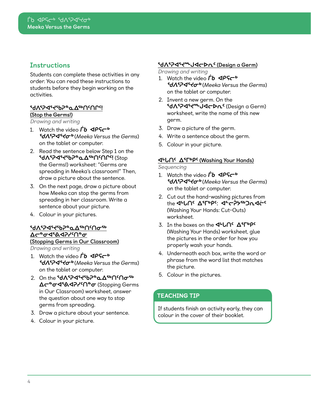### **Instructions**

Students can complete these activities in any order. You can read these instructions to students before they begin working on the activities.

#### **ᖁᐱᕐᕈᐊᕐᔪᖃᕈᓐᓇᐃᖅᑎᑦᑎᒋᑦ!**

#### **(Stop the Germs!)**

Drawing and writing

- 1. Watch the video *ib <1PS* **SdASP4S+dra** (Meeka Versus the Germs) on the tablet or computer.
- 2. Read the sentence below Step 1 on the **SUC COLLOC CONTROLS TO COLLOC** the Germs!) worksheet: "Germs are spreading in Meeka's classroom!" Then, draw a picture about the sentence.
- 3. On the next page, draw a picture about how Meeka can stop the germs from spreading in her classroom. Write a sentence about your picture.
- 4. Colour in your pictures.

### **ჼᲫ⅄ჼ**₧Ⴗ<del>Ⴧ</del>ჼ

**ᐃᓕᓐᓂᐊᕐᕕᐊᕈᓯᑦᑎᓐᓂ (Stopping Germs in Our Classroom)** Drawing and writing

- 1. Watch the video  $rb$  **4PS** $c$ **<sup>b</sup> SdASP4STO** (Meeka Versus the Germs) on the tablet or computer.
- 2. On the **SdASP4SSPeaASPNSM**  $\Delta$ <sup>- •</sup>σ<46<br /> **Δ<br />
<del>Δ<br />
6<br />
19<br />
19<br />
19<br />
19<br />
19<br />
19<br />
19<br />
19<br />
19<br />
19<br />
19<br />
19<br />
19<br />
19<br />
19<br />
19<br />
19<br />
19<br />
19<br />
19<b**</del> in Our Classroom) worksheet, answer the question about one way to stop germs from spreading.
- 3. Draw a picture about your sentence.
- 4. Colour in your picture.

### **ᖁᐱᕐᕈᐊᕐᔪᖖᒍᐊᓕᐅᕆᑦ (Design a Germ)**

Drawing and writing

- 1. Watch the video *ib <>>>* **SdASP4S+dra** (Meeka Versus the Germs) on the tablet or computer.
- 2. Invent a new germ. On the **ᖁᐱᕐᕈᐊᕐᔪᖖᒍᐊᓕᐅᕆᑦ** (Design a Germ) worksheet, write the name of this new germ.
- 3. Draw a picture of the germ.
- 4. Write a sentence about the germ.
- 5. Colour in your picture.

#### **ᐊᒡᒐᑎᑦ ᐃᕐᒥᒃᑭᑦ (Washing Your Hands)**

Sequencing

- 1. Watch the video *ib <1PS* **SdASP4STob** (Meeka Versus the Germs) on the tablet or computer.
- 2. Cut out the hand-washing pictures from the **J<sup>L</sup>U<sup>C</sup> ASTOPS: JL-OSTOPS** (Washing Your Hands: Cut-Outs) worksheet.
- 3. In the boxes on the **J<sub>'</sub>U∩<sup>c</sup> Δ'<sup>Γ</sup>'**P<sup>c</sup> (Washing Your Hands) worksheet, glue the pictures in the order for how you properly wash your hands.
- 4. Underneath each box, write the word or phrase from the word list that matches the picture.
- 5. Colour in the pictures.

### TEACHING TIP

If students finish an activity early, they can colour in the cover of their booklet.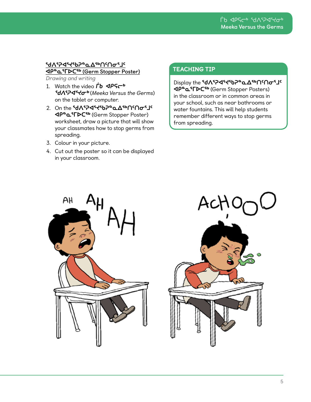#### **ᖁᐱᕐᕈᐊᕐᔪᖃᕈᓐᓇᐃᖅᑎᑦᑎᓂᕐᒧᑦ ᐊᑭᓐᓇᕐᒥᐅᑕᖅ (Germ Stopper Poster)**

Drawing and writing

- 1. Watch the video *ib*  $\triangleleft P \triangleleft C^b$ **SdASP4S+dob** (Meeka Versus the Germs) on the tablet or computer.
- 2. On the **SdASP4SSPeadspMSOF15 ᐊᑭᓐᓇᕐᒥᐅᑕᖅ** (Germ Stopper Poster) worksheet, draw a picture that will show your classmates how to stop germs from spreading.
- 3. Colour in your picture.
- 4. Cut out the poster so it can be displayed in your classroom.

#### TEACHING TIP

Display the **SdASP4S+50PadShAShOSHIG ᐊᑭᓐᓇᕐᒥᐅᑕᖅ** (Germ Stopper Posters) in the classroom or in common areas in your school, such as near bathrooms or water fountains. This will help students remember different ways to stop germs from spreading.



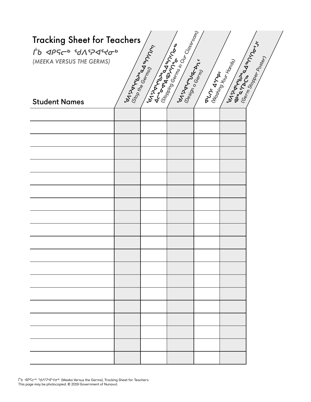| <b>in Execution</b><br>And Principles of the Class of the Class of the Class of the Class of the Class of the Class of the Class of the Class of the Class of the Class of the Class of the Class of the Class of the Class of the Cla<br><b>Tracking Sheet for Teachers</b><br><b>Syron Boom Marie 1876</b><br><b>BYDRAKKBOARD</b><br><b><i>Γ΄ ΑΡςς ΜΑΡΑ ΤΟ ΤΟ Α΄ Κ</i></b><br>(Sem <sub>m Stoppen Poster)</sub><br>(MEEKA VERSUS THE GERMS)<br>Moshing Your Honds)<br>(Design o Germy<br><b>ALCONS</b> A There |  |  |  |  |  |  |  |  |
|------------------------------------------------------------------------------------------------------------------------------------------------------------------------------------------------------------------------------------------------------------------------------------------------------------------------------------------------------------------------------------------------------------------------------------------------------------------------------------------------------------------|--|--|--|--|--|--|--|--|
| <b>Student Names</b>                                                                                                                                                                                                                                                                                                                                                                                                                                                                                             |  |  |  |  |  |  |  |  |
|                                                                                                                                                                                                                                                                                                                                                                                                                                                                                                                  |  |  |  |  |  |  |  |  |
|                                                                                                                                                                                                                                                                                                                                                                                                                                                                                                                  |  |  |  |  |  |  |  |  |
|                                                                                                                                                                                                                                                                                                                                                                                                                                                                                                                  |  |  |  |  |  |  |  |  |
|                                                                                                                                                                                                                                                                                                                                                                                                                                                                                                                  |  |  |  |  |  |  |  |  |
|                                                                                                                                                                                                                                                                                                                                                                                                                                                                                                                  |  |  |  |  |  |  |  |  |
|                                                                                                                                                                                                                                                                                                                                                                                                                                                                                                                  |  |  |  |  |  |  |  |  |
|                                                                                                                                                                                                                                                                                                                                                                                                                                                                                                                  |  |  |  |  |  |  |  |  |
|                                                                                                                                                                                                                                                                                                                                                                                                                                                                                                                  |  |  |  |  |  |  |  |  |
|                                                                                                                                                                                                                                                                                                                                                                                                                                                                                                                  |  |  |  |  |  |  |  |  |
|                                                                                                                                                                                                                                                                                                                                                                                                                                                                                                                  |  |  |  |  |  |  |  |  |
|                                                                                                                                                                                                                                                                                                                                                                                                                                                                                                                  |  |  |  |  |  |  |  |  |
|                                                                                                                                                                                                                                                                                                                                                                                                                                                                                                                  |  |  |  |  |  |  |  |  |
|                                                                                                                                                                                                                                                                                                                                                                                                                                                                                                                  |  |  |  |  |  |  |  |  |
|                                                                                                                                                                                                                                                                                                                                                                                                                                                                                                                  |  |  |  |  |  |  |  |  |
|                                                                                                                                                                                                                                                                                                                                                                                                                                                                                                                  |  |  |  |  |  |  |  |  |
|                                                                                                                                                                                                                                                                                                                                                                                                                                                                                                                  |  |  |  |  |  |  |  |  |
|                                                                                                                                                                                                                                                                                                                                                                                                                                                                                                                  |  |  |  |  |  |  |  |  |
|                                                                                                                                                                                                                                                                                                                                                                                                                                                                                                                  |  |  |  |  |  |  |  |  |
|                                                                                                                                                                                                                                                                                                                                                                                                                                                                                                                  |  |  |  |  |  |  |  |  |
|                                                                                                                                                                                                                                                                                                                                                                                                                                                                                                                  |  |  |  |  |  |  |  |  |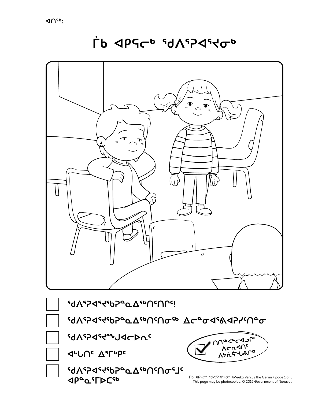

**.9VcSde4ab5e** 74sVP4



# LP <br />
4b<br />
40<br />
40<br />
40<br />
40<br />
40<br />
40<br />
40<br />
40<br />
40<br />
40<br />
40<br />
40<br />
40<br />
40<br />
40<br />
40<br />
40<br />
40<br />
40<br />
40<br />
40<br />
40<br />
40<br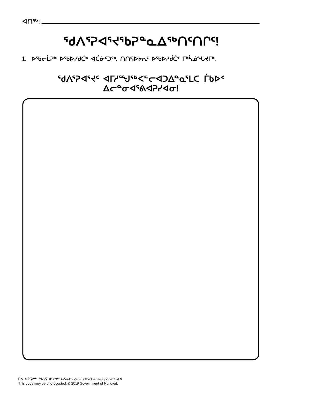# **ᖁᐱᕐᕈᐊᕐᔪᖃᕈᓐᓇᐃᖅᑎᑦᑎᒋᑦ!**

**1. ᐅᖃᓕᒫᕈᒃ ᐅᖃᐅᓯᑯᑖᒃ ᐊᑖᓃᑦᑐᖅ. ᑎᑎᕋᐅᔭᕆᑦ ᐅᖃᐅᓯᑰᑖᑉ ᒥᒃᓵᓅᖓᔪᒥᒃ.**

**ᖁᐱᕐᕈᐊᕐᔪᑦ ᐊᒥᓱᙳᖅᐸᓪᓕᐊᑐᐃᓐᓇᕐᒪᑕ ᒦᑲᐅᑉ ᐃᓕᓐᓂᐊᕐᕕᐊᕈᓯᐊᓂ!**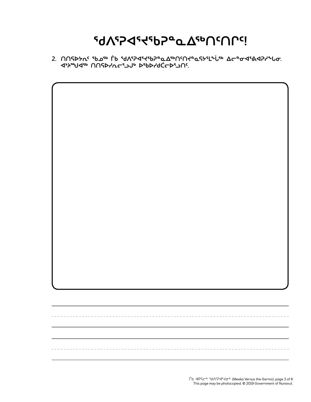# **ᖁᐱᕐᕈᐊᕐᔪᖃᕈᓐᓇᐃᖅᑎᑦᑎᒋᑦ!**

2. ∩∩ናϷ**ኦ**ռ٬ قلم ڨ ሰ የተለየንፈየተየኮያሚልየ በናበተዋልና አይነል ልተዋልፈንሥሁው **ᐊᔾᔨᙳᐊᖅ ᑎᑎᕋᐅᓯᕆᓕᕐᓗᒍᒃ ᐅᖃᐅᓯᑯᑖᓕᐅᕐᓗᑎᑦ.** 

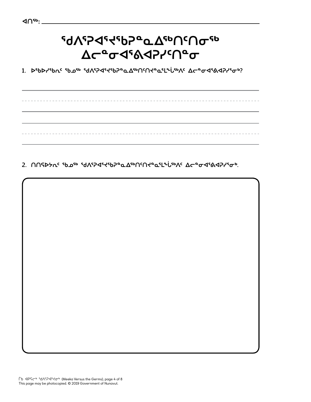2. ∩∩ናÞኦռ٬ قصر למיז *קילי*פים במייחירים נוליוסים ברים קליאקיים.

**1. ᐅᖃᐅᓯᖃᕆᑦ ᖃᓄᖅ ᖁᐱᕐᕈᐊᕐᔪᖃᕈᓐᓇᐃᖅᑎᑦᑎᔪᓐᓇᕐᒪᖔᖅᐱᑦ ᐃᓕᓐᓂᐊᕐᕕᐊᕈᓯᕐᓂᒃ?**

# **‹მ**WP4PAº QAPO٬ **ᐃᓕᓐᓂᐊᕐᕕᐊᕈᓯᑦᑎᓐᓂ**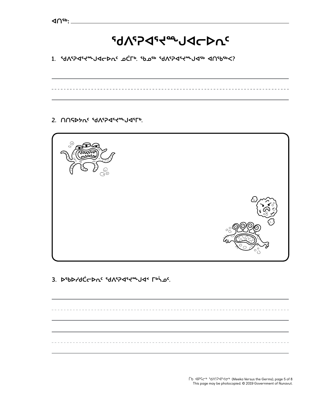# **ᖁᐱᕐᕈᐊᕐᔪᖖᒍᐊᓕᐅᕆᑦ**

**1. ᖁᐱᕐᕈᐊᕐᔪᖖᒍᐊᓕᐅᕆᑦ ᓄᑖᒥᒃ. ᖃᓄᖅ ᖁᐱᕐᕈᐊᕐᔪᖖᒍᐊᖅ ᐊᑎᖃᖅᐸ?**

**2. ᑎᑎᕋᐅᔭᕆᑦ ᖁᐱᕐᕈᐊᕐᔪᖖᒍᐊᕐᒥᒃ.**



3. DEDPYdCCDn<sup>c</sup> SUNSPASSED JAS FOLLO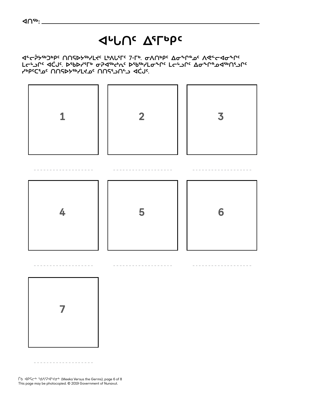

 **ᐊᓪᓕᕉᔭᖅᑐᒃᑭᑦ ᑎᑎᕋᐅᔭᖅᓯᒪᔪᑦ ᒪᒃᐱᒐᕐᒥᑦ 7-ᒥᒃ. ᓂᐱᑎᒃᑭᑦ ᐃᓂᖏᓐᓄᑦ ᐱᕙᓪᓕᐊᓂᖏᑦ**  ∠←בי∟רי סלטי ִ 4 שלייך שלאף לאפיר באשיר באיר האיר האיר איר לא **ᓯᒃᑭᑦᑕᕐᓄᑦ ᑎᑎᕋᐅᔭᖅᓯᒪᔪᓄᑦ ᑎᑎᕋᕐᓗᑎᓪᓗ ᐊᑖᒍᑦ.** 

# **ᐊᒡᒐᑎᑦ ᐃᕐᒥᒃᑭᑦ**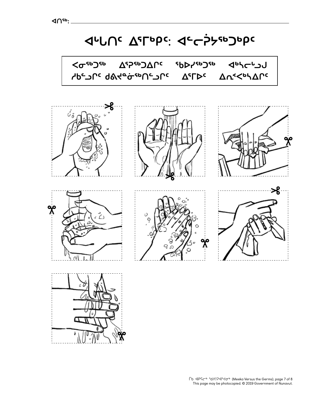

ᒦᑲ ᐊᑭᕋᓕᒃ ᖁᐱᕐᕈᐊᕐᔪᓂᒃ (Meeka Versus the Germs), page 7 of 8 This page may be photocopied. © 2019 Government of Nunavut.

# **JUU A CONUID: 4-CONUID:**

**ᐸᓂᖅᑐᖅ ᐃᕐᕈᖅᑐᐃᒋᑦ ᖃᐅᓯᖅᑐᖅ ᐊᒃᓴᓕᒡᓗᒍ**

**ᓱᑲᓪᓗᒋᑦ ᑯᕕᔪᓐᓃᖅᑎᓪᓗᒋᑦ ᐃᕐᒥᐅᑦ ᐃᕆᑉᐸᒃᓴᐃᒋᑦ**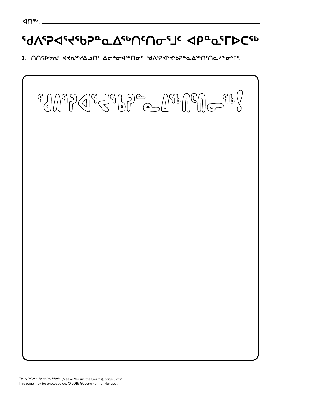# **'d/\}Q'{\'b}<sup>o</sup>QA'v^IC\O'J' <br/>QP^Q'TDC'b**

1. በበናÞኦሲ<sup>ና</sup> ∢⊀ሲჼ<sup>ϧ</sup>/Δ౨በ<sup>ϲ</sup> Δϲ<sup>ҩ</sup>σ∢ჼჼበσჼ ჼႻለჼዖኆჼ⊀ჼႦዖჼႭΔჼჼႶჼႶႭ/ჼႰσჼ୮ჼ.

 $\bigotimes_{\left(\begin{matrix}a\\b\end{matrix}\right)}$  $\text{SPQGCSB} \xrightarrow{\text{SPQ}} \text{SPB} \xrightarrow{\text{SPQ}} \text{SPB} \xrightarrow{\text{SPQ}} \text{SPB} \xrightarrow{\text{SPQ}} \text{SPB} \xrightarrow{\text{SPQ}} \text{SPB} \xrightarrow{\text{SPQ}} \text{SPB} \xrightarrow{\text{SPQ}} \text{SPB} \xrightarrow{\text{SPQ}} \text{SPB} \xrightarrow{\text{SPQ}} \text{SPB} \xrightarrow{\text{SPQ}} \text{SPB} \xrightarrow{\text{SPQ}} \text{SPB} \xrightarrow{\text{SPQ}} \text{SPB} \xrightarrow{\text{SPQ}} \text{SPB} \xrightarrow{\text{SPQ}} \text{SPB} \$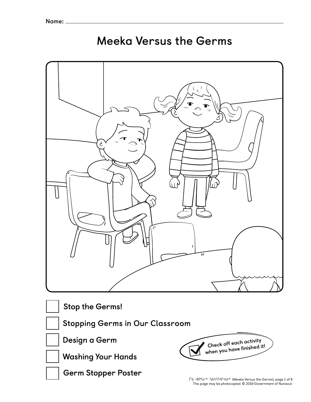### **Meeka Versus the Germs**



Stop the Germs!

**Stopping Germs in Our Classroom** 

Design a Germ

**Washing Your Hands** 

**Germ Stopper Poster** 

Check off each activity when you have finished it!

ᒦᑲ ᐊᑭᕋᓕᒃ ᖁᐱᕐᕈᐊᕐᔪᓂᒃ (Meeka Versus the Germs), page 1 of 8 This page may be photocopied. © 2019 Government of Nunavut.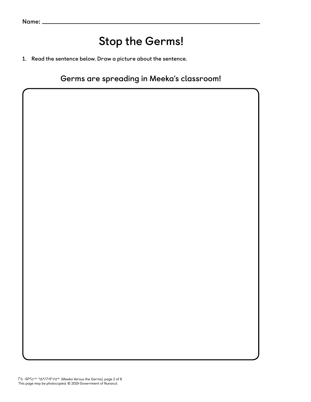**Name**:

# **Stop the Germs!**

**1. Read the sentence below. Draw a picture about the sentence.**

### **Germs are spreading in Meeka's classroom!**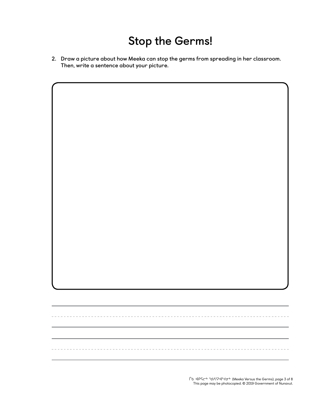### **Stop the Germs!**

---------------------

**2. Draw a picture about how Meeka can stop the germs from spreading in her classroom. Then, write a sentence about your picture.**

----------

ᒦᑲ ᐊᑭᕋᓕᒃ ᖁᐱᕐᕈᐊᕐᔪᓂᒃ (Meeka Versus the Germs), page 3 of 8 This page may be photocopied. © 2019 Government of Nunavut.

------------------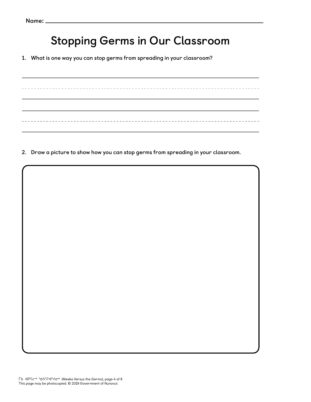# **Stopping Germs in Our Classroom**

**1. What is one way you can stop germs from spreading in your classroom?**

----------------------------

**2. Draw a picture to show how you can stop germs from spreading in your classroom.**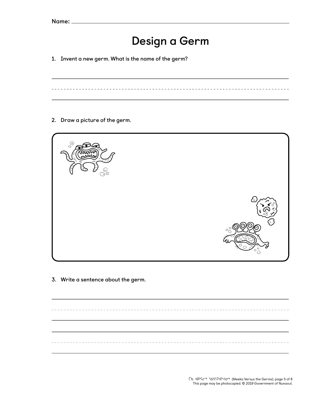### **Design a Germ**

**1. Invent a new germ. What is the name of the germ?** 

**2. Draw a picture of the germ.**



**3. Write a sentence about the germ.** 

\_\_\_\_\_\_\_\_\_\_\_\_\_\_\_\_\_\_\_\_\_\_\_\_\_\_\_\_\_\_ \_\_\_\_\_\_\_\_\_\_\_\_\_\_\_\_\_\_\_\_\_\_\_\_\_\_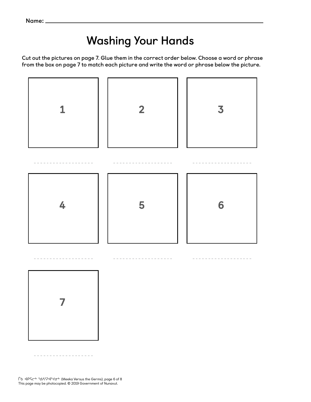# **Washing Your Hands**

 **Cut out the pictures on page 7. Glue them in the correct order below. Choose a word or phrase from the box on page 7 to match each picture and write the word or phrase below the picture.**

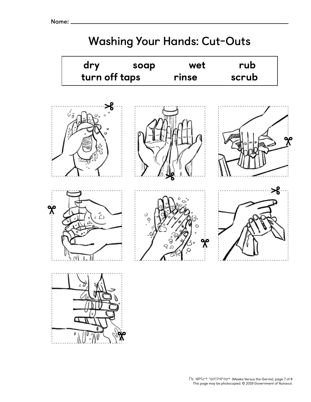### **Washing Your Hands: Cut-Outs**

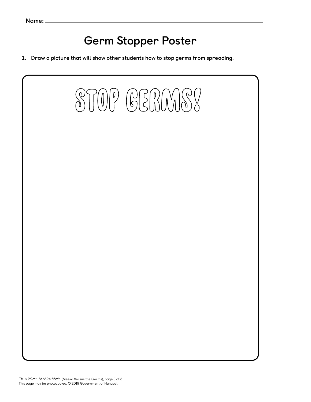### **Germ Stopper Poster**

**1. Draw a picture that will show other students how to stop germs from spreading.**